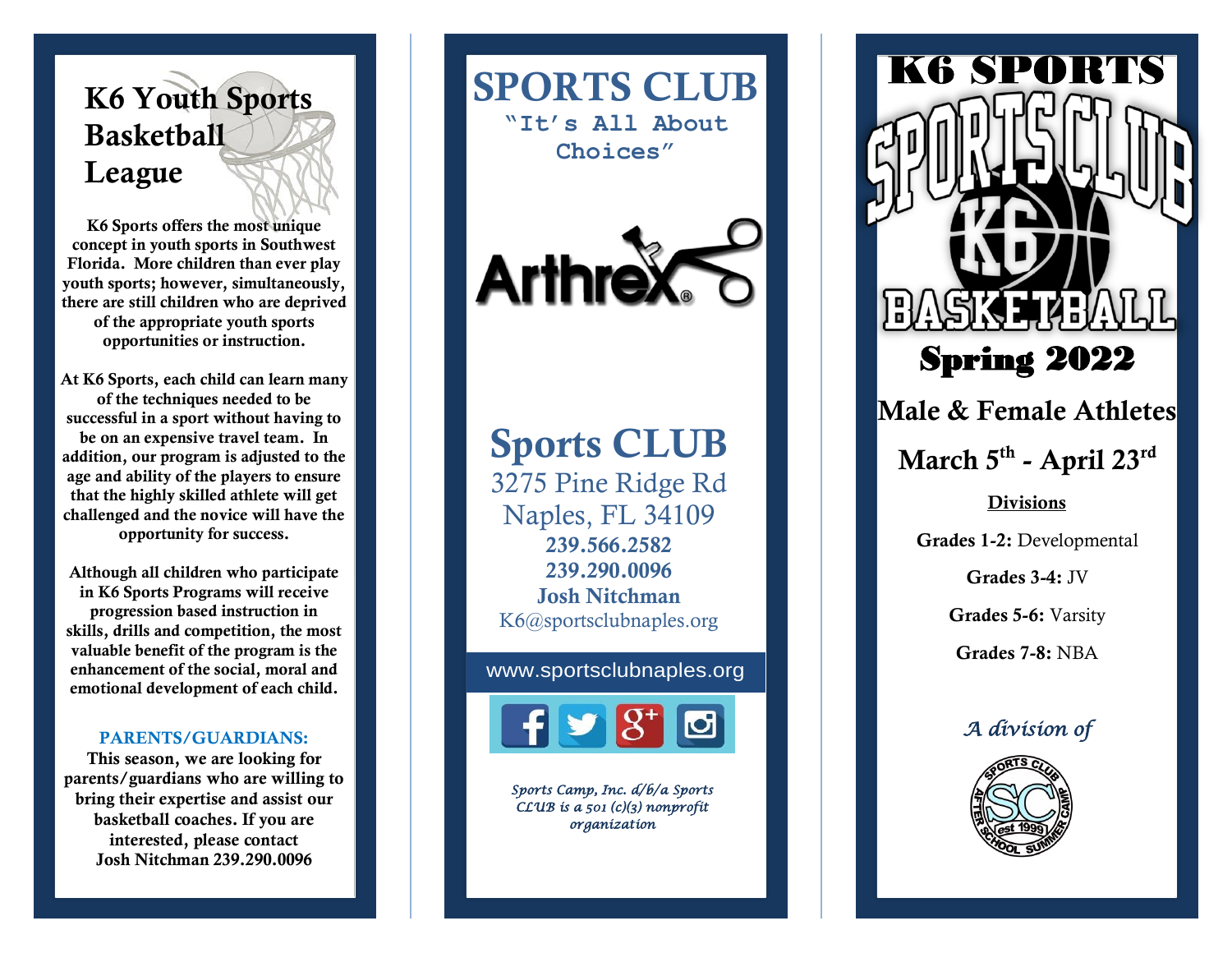### K6 Youth Sports **Basketball** League

K6 Sports offers the most unique concept in youth sports in Southwest Florida. More children than ever play youth sports; however, simultaneously, there are still children who are deprived of the appropriate youth sports opportunities or instruction.

At K6 Sports, each child can learn many of the techniques needed to be successful in a sport without having to be on an expensive travel team. In addition, our program is adjusted to the age and ability of the players to ensure that the highly skilled athlete will get challenged and the novice will have the opportunity for success.

Although all children who participate in K6 Sports Programs will receive progression based instruction in skills, drills and competition, the most valuable benefit of the program is the enhancement of the social, moral and emotional development of each child.

#### PARENTS/GUARDIANS:

This season, we are looking for parents/guardians who are willing to bring their expertise and assist our basketball coaches. If you are interested, please contact Josh Nitchman 239.290.0096

SPORTS CLUB **"It's All About Choices"**



## Sports CLUB

3275 Pine Ridge Rd Naples, FL 34109 239.566.2582 239.290.0096 Josh Nitchman K6@sportsclubnaples.org

#### www.sportsclubnaples.org



*Sports Camp, Inc. d/b/a Sports CLUB is a 501 (c)(3) nonprofit organization*